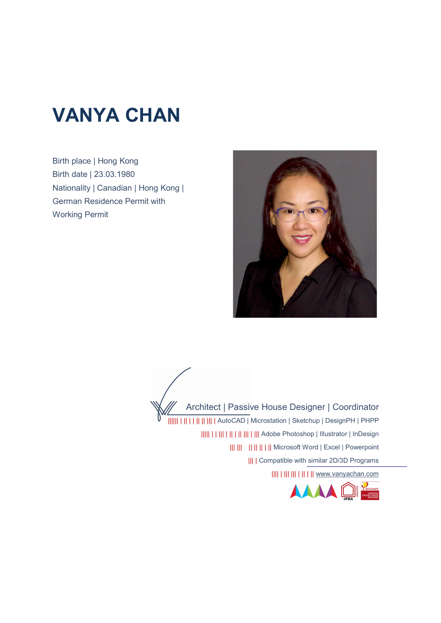# VANYA CHAN

Birth place | Hong Kong Birth date | 23.03.1980 Nationality | Canadian | Hong Kong | German Residence Permit with Working Permit



Architect | Passive House Designer | Coordinator |||||| | || | | || || ||| | AutoCAD | Microstation | Sketchup | DesignPH | PHPP ||||| | | ||| | || | || ||| | ||| Adobe Photoshop | Illustrator | InDesign ||| ||| || || || | || Microsoft Word | Excel | Powerpoint ||| | Compatible with similar 2D/3D Programs |||| | ||| ||| | || | || www.vanyachan.com

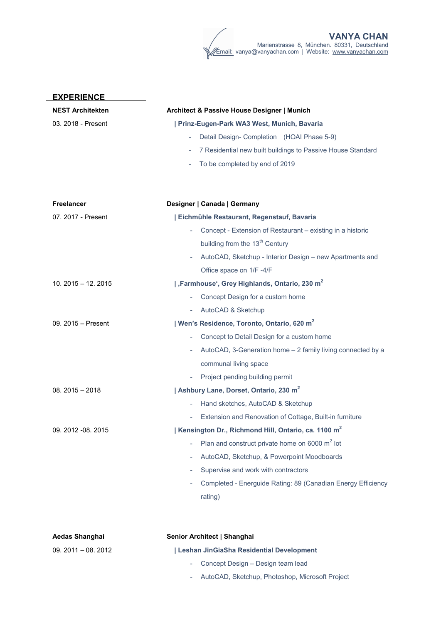| <b>EXPERIENCE</b>       |                                                                 |  |  |
|-------------------------|-----------------------------------------------------------------|--|--|
| <b>NEST Architekten</b> | Architect & Passive House Designer   Munich                     |  |  |
| 03. 2018 - Present      | Prinz-Eugen-Park WA3 West, Munich, Bavaria                      |  |  |
|                         | Detail Design- Completion (HOAI Phase 5-9)                      |  |  |
|                         | 7 Residential new built buildings to Passive House Standard     |  |  |
|                         | To be completed by end of 2019                                  |  |  |
|                         |                                                                 |  |  |
| <b>Freelancer</b>       | Designer   Canada   Germany                                     |  |  |
| 07. 2017 - Present      | Eichmühle Restaurant, Regenstauf, Bavaria                       |  |  |
|                         | Concept - Extension of Restaurant - existing in a historic      |  |  |
|                         | building from the 13 <sup>th</sup> Century                      |  |  |
|                         | AutoCAD, Sketchup - Interior Design - new Apartments and        |  |  |
|                         | Office space on 1/F -4/F                                        |  |  |
| $10.2015 - 12.2015$     | Farmhouse', Grey Highlands, Ontario, 230 m <sup>2</sup>         |  |  |
|                         | Concept Design for a custom home                                |  |  |
|                         | AutoCAD & Sketchup                                              |  |  |
| 09. 2015 - Present      | Wen's Residence, Toronto, Ontario, 620 m <sup>2</sup>           |  |  |
|                         | Concept to Detail Design for a custom home                      |  |  |
|                         | AutoCAD, 3-Generation home - 2 family living connected by a     |  |  |
|                         | communal living space                                           |  |  |
|                         | Project pending building permit                                 |  |  |
| $08.2015 - 2018$        | Ashbury Lane, Dorset, Ontario, 230 m <sup>2</sup>               |  |  |
|                         | Hand sketches, AutoCAD & Sketchup                               |  |  |
|                         | Extension and Renovation of Cottage, Built-in furniture         |  |  |
| 09. 2012 -08. 2015      | Kensington Dr., Richmond Hill, Ontario, ca. 1100 m <sup>2</sup> |  |  |
|                         | Plan and construct private home on 6000 m <sup>2</sup> lot      |  |  |
|                         | AutoCAD, Sketchup, & Powerpoint Moodboards                      |  |  |
|                         | Supervise and work with contractors                             |  |  |
|                         | Completed - Energuide Rating: 89 (Canadian Energy Efficiency    |  |  |
|                         | rating)                                                         |  |  |
|                         |                                                                 |  |  |
|                         |                                                                 |  |  |
| Aedas Shanghai          | Senior Architect   Shanghai                                     |  |  |

| $09.2011 - 08.2012$ | Leshan JinGiaSha Residential Development          |
|---------------------|---------------------------------------------------|
|                     | - Concept Design – Design team lead               |
|                     | - AutoCAD, Sketchup, Photoshop, Microsoft Project |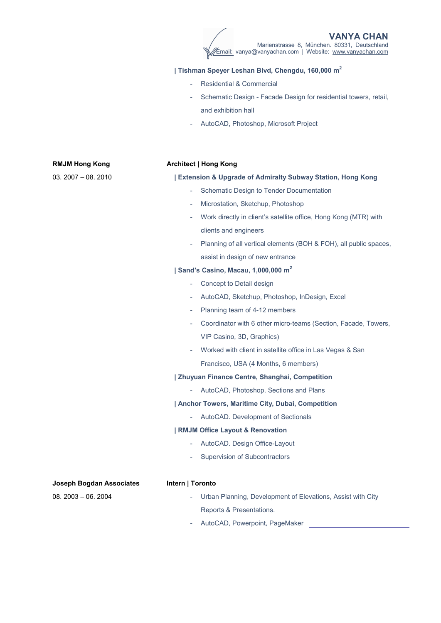## | Tishman Speyer Leshan Blvd, Chengdu, 160,000 m<sup>2</sup>

- Residential & Commercial
- Schematic Design Facade Design for residential towers, retail, and exhibition hall
- AutoCAD, Photoshop, Microsoft Project

## RMJM Hong Kong

03. 2007 – 08. 2010

#### Architect | Hong Kong

#### | Extension & Upgrade of Admiralty Subway Station, Hong Kong

- Schematic Design to Tender Documentation
- Microstation, Sketchup, Photoshop
- Work directly in client's satellite office, Hong Kong (MTR) with clients and engineers
- Planning of all vertical elements (BOH & FOH), all public spaces, assist in design of new entrance

## | Sand's Casino, Macau, 1,000,000 m<sup>2</sup>

- Concept to Detail design
- AutoCAD, Sketchup, Photoshop, InDesign, Excel
- Planning team of 4-12 members
- Coordinator with 6 other micro-teams (Section, Facade, Towers, VIP Casino, 3D, Graphics)
- Worked with client in satellite office in Las Vegas & San Francisco, USA (4 Months, 6 members)

#### | Zhuyuan Finance Centre, Shanghai, Competition

- AutoCAD, Photoshop. Sections and Plans

## | Anchor Towers, Maritime City, Dubai, Competition

- AutoCAD. Development of Sectionals

#### | RMJM Office Layout & Renovation

- AutoCAD. Design Office-Layout
- Supervision of Subcontractors

#### Joseph Bogdan Associates

08. 2003 – 06. 2004

## Intern | Toronto

- Urban Planning, Development of Elevations, Assist with City Reports & Presentations.
- AutoCAD, Powerpoint, PageMaker